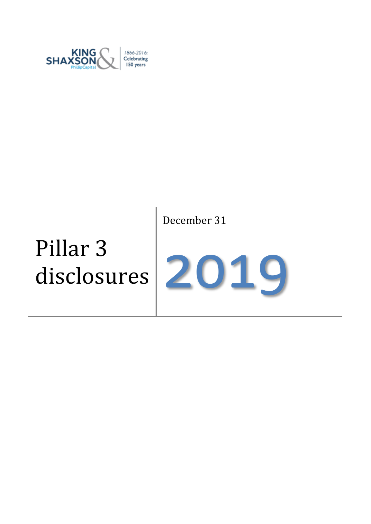

# December 31

# Pillar 3 disclosures

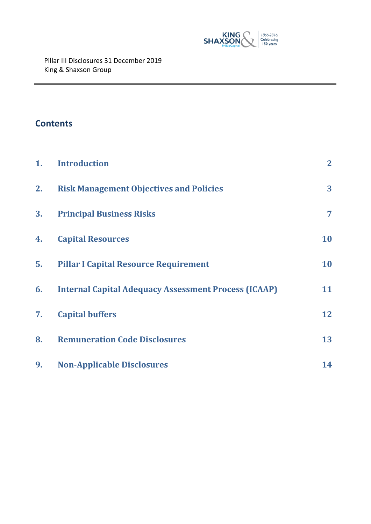

# **Contents**

| 1. | <b>Introduction</b>                                         | $\mathbf{2}$   |
|----|-------------------------------------------------------------|----------------|
| 2. | <b>Risk Management Objectives and Policies</b>              | 3 <sup>1</sup> |
| 3. | <b>Principal Business Risks</b>                             | 7              |
| 4. | <b>Capital Resources</b>                                    | 10             |
| 5. | <b>Pillar I Capital Resource Requirement</b>                | 10             |
| 6. | <b>Internal Capital Adequacy Assessment Process (ICAAP)</b> | 11             |
| 7. | <b>Capital buffers</b>                                      | 12             |
| 8. | <b>Remuneration Code Disclosures</b>                        | 13             |
| 9. | <b>Non-Applicable Disclosures</b>                           | 14             |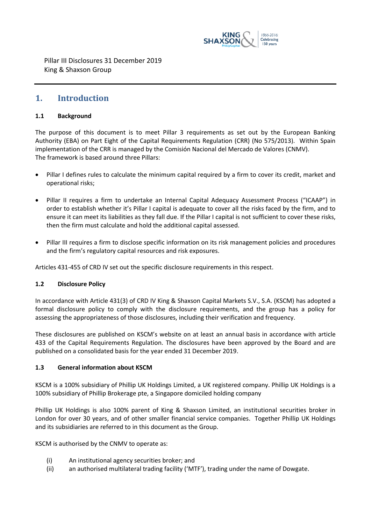

### <span id="page-2-0"></span>**1. Introduction**

#### **1.1 Background**

The purpose of this document is to meet Pillar 3 requirements as set out by the European Banking Authority (EBA) on Part Eight of the Capital Requirements Regulation (CRR) (No 575/2013). Within Spain implementation of the CRR is managed by the Comisión Nacional del Mercado de Valores (CNMV). The framework is based around three Pillars:

- Pillar I defines rules to calculate the minimum capital required by a firm to cover its credit, market and operational risks;
- Pillar II requires a firm to undertake an Internal Capital Adequacy Assessment Process ("ICAAP") in order to establish whether it's Pillar I capital is adequate to cover all the risks faced by the firm, and to ensure it can meet its liabilities as they fall due. If the Pillar I capital is not sufficient to cover these risks, then the firm must calculate and hold the additional capital assessed.
- Pillar III requires a firm to disclose specific information on its risk management policies and procedures and the firm's regulatory capital resources and risk exposures.

Articles 431-455 of CRD IV set out the specific disclosure requirements in this respect.

#### **1.2 Disclosure Policy**

In accordance with Article 431(3) of CRD IV King & Shaxson Capital Markets S.V., S.A. (KSCM) has adopted a formal disclosure policy to comply with the disclosure requirements, and the group has a policy for assessing the appropriateness of those disclosures, including their verification and frequency.

These disclosures are published on KSCM's website on at least an annual basis in accordance with article 433 of the Capital Requirements Regulation. The disclosures have been approved by the Board and are published on a consolidated basis for the year ended 31 December 2019.

#### **1.3 General information about KSCM**

KSCM is a 100% subsidiary of Phillip UK Holdings Limited, a UK registered company. Phillip UK Holdings is a 100% subsidiary of Phillip Brokerage pte, a Singapore domiciled holding company

Phillip UK Holdings is also 100% parent of King & Shaxson Limited, an institutional securities broker in London for over 30 years, and of other smaller financial service companies. Together Phillip UK Holdings and its subsidiaries are referred to in this document as the Group.

KSCM is authorised by the CNMV to operate as:

- (i) An institutional agency securities broker; and
- (ii) an authorised multilateral trading facility ('MTF'), trading under the name of Dowgate.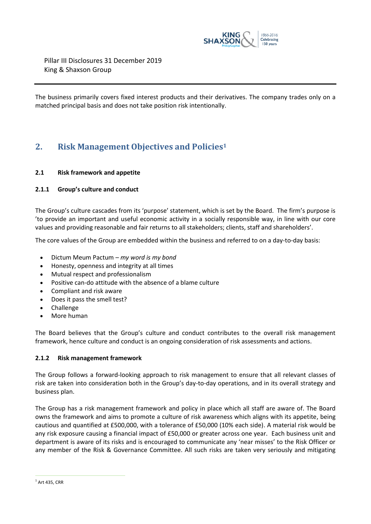

The business primarily covers fixed interest products and their derivatives. The company trades only on a matched principal basis and does not take position risk intentionally.

# <span id="page-3-0"></span>**2. Risk Management Objectives and Policies<sup>1</sup>**

#### **2.1 Risk framework and appetite**

#### **2.1.1 Group's culture and conduct**

The Group's culture cascades from its 'purpose' statement, which is set by the Board. The firm's purpose is 'to provide an important and useful economic activity in a socially responsible way, in line with our core values and providing reasonable and fair returns to all stakeholders; clients, staff and shareholders'.

The core values of the Group are embedded within the business and referred to on a day-to-day basis:

- Dictum Meum Pactum *my word is my bond*
- Honesty, openness and integrity at all times
- Mutual respect and professionalism
- Positive can-do attitude with the absence of a blame culture
- Compliant and risk aware
- Does it pass the smell test?
- Challenge
- More human

The Board believes that the Group's culture and conduct contributes to the overall risk management framework, hence culture and conduct is an ongoing consideration of risk assessments and actions.

#### **2.1.2 Risk management framework**

The Group follows a forward-looking approach to risk management to ensure that all relevant classes of risk are taken into consideration both in the Group's day-to-day operations, and in its overall strategy and business plan.

The Group has a risk management framework and policy in place which all staff are aware of. The Board owns the framework and aims to promote a culture of risk awareness which aligns with its appetite, being cautious and quantified at £500,000, with a tolerance of £50,000 (10% each side). A material risk would be any risk exposure causing a financial impact of £50,000 or greater across one year. Each business unit and department is aware of its risks and is encouraged to communicate any 'near misses' to the Risk Officer or any member of the Risk & Governance Committee. All such risks are taken very seriously and mitigating

 $<sup>1</sup>$  Art 435, CRR</sup>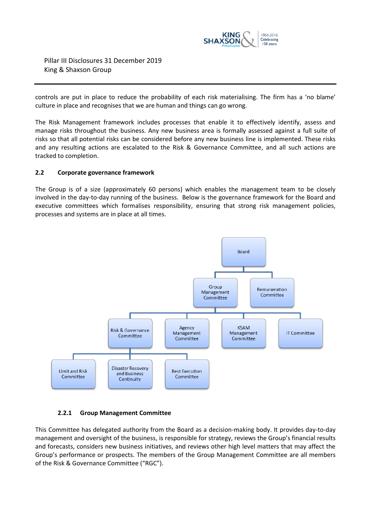

controls are put in place to reduce the probability of each risk materialising. The firm has a 'no blame' culture in place and recognises that we are human and things can go wrong.

The Risk Management framework includes processes that enable it to effectively identify, assess and manage risks throughout the business. Any new business area is formally assessed against a full suite of risks so that all potential risks can be considered before any new business line is implemented. These risks and any resulting actions are escalated to the Risk & Governance Committee, and all such actions are tracked to completion.

#### **2.2 Corporate governance framework**

The Group is of a size (approximately 60 persons) which enables the management team to be closely involved in the day-to-day running of the business. Below is the governance framework for the Board and executive committees which formalises responsibility, ensuring that strong risk management policies, processes and systems are in place at all times.



#### **2.2.1 Group Management Committee**

This Committee has delegated authority from the Board as a decision-making body. It provides day-to-day management and oversight of the business, is responsible for strategy, reviews the Group's financial results and forecasts, considers new business initiatives, and reviews other high level matters that may affect the Group's performance or prospects. The members of the Group Management Committee are all members of the Risk & Governance Committee ("RGC").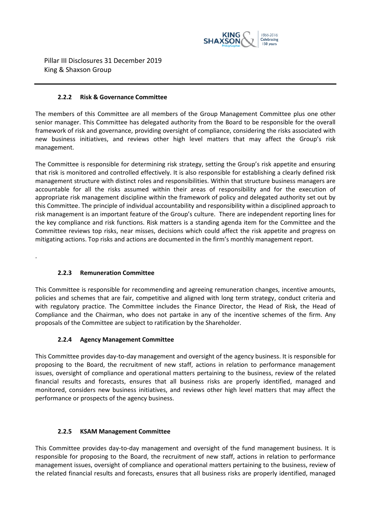

#### **2.2.2 Risk & Governance Committee**

The members of this Committee are all members of the Group Management Committee plus one other senior manager. This Committee has delegated authority from the Board to be responsible for the overall framework of risk and governance, providing oversight of compliance, considering the risks associated with new business initiatives, and reviews other high level matters that may affect the Group's risk management.

The Committee is responsible for determining risk strategy, setting the Group's risk appetite and ensuring that risk is monitored and controlled effectively. It is also responsible for establishing a clearly defined risk management structure with distinct roles and responsibilities. Within that structure business managers are accountable for all the risks assumed within their areas of responsibility and for the execution of appropriate risk management discipline within the framework of policy and delegated authority set out by this Committee. The principle of individual accountability and responsibility within a disciplined approach to risk management is an important feature of the Group's culture. There are independent reporting lines for the key compliance and risk functions. Risk matters is a standing agenda item for the Committee and the Committee reviews top risks, near misses, decisions which could affect the risk appetite and progress on mitigating actions. Top risks and actions are documented in the firm's monthly management report.

#### **2.2.3 Remuneration Committee**

.

This Committee is responsible for recommending and agreeing remuneration changes, incentive amounts, policies and schemes that are fair, competitive and aligned with long term strategy, conduct criteria and with regulatory practice. The Committee includes the Finance Director, the Head of Risk, the Head of Compliance and the Chairman, who does not partake in any of the incentive schemes of the firm. Any proposals of the Committee are subject to ratification by the Shareholder.

#### **2.2.4 Agency Management Committee**

This Committee provides day-to-day management and oversight of the agency business. It is responsible for proposing to the Board, the recruitment of new staff, actions in relation to performance management issues, oversight of compliance and operational matters pertaining to the business, review of the related financial results and forecasts, ensures that all business risks are properly identified, managed and monitored, considers new business initiatives, and reviews other high level matters that may affect the performance or prospects of the agency business.

#### **2.2.5 KSAM Management Committee**

This Committee provides day-to-day management and oversight of the fund management business. It is responsible for proposing to the Board, the recruitment of new staff, actions in relation to performance management issues, oversight of compliance and operational matters pertaining to the business, review of the related financial results and forecasts, ensures that all business risks are properly identified, managed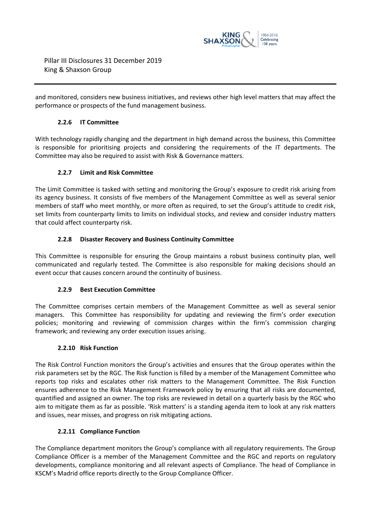

and monitored, considers new business initiatives, and reviews other high level matters that may affect the performance or prospects of the fund management business.

#### **2.2.6 IT Committee**

With technology rapidly changing and the department in high demand across the business, this Committee is responsible for prioritising projects and considering the requirements of the IT departments. The Committee may also be required to assist with Risk & Governance matters.

#### **2.2.7 Limit and Risk Committee**

The Limit Committee is tasked with setting and monitoring the Group's exposure to credit risk arising from its agency business. It consists of five members of the Management Committee as well as several senior members of staff who meet monthly, or more often as required, to set the Group's attitude to credit risk, set limits from counterparty limits to limits on individual stocks, and review and consider industry matters that could affect counterparty risk.

#### **2.2.8 Disaster Recovery and Business Continuity Committee**

This Committee is responsible for ensuring the Group maintains a robust business continuity plan, well communicated and regularly tested. The Committee is also responsible for making decisions should an event occur that causes concern around the continuity of business.

#### **2.2.9 Best Execution Committee**

The Committee comprises certain members of the Management Committee as well as several senior managers. This Committee has responsibility for updating and reviewing the firm's order execution policies; monitoring and reviewing of commission charges within the firm's commission charging framework; and reviewing any order execution issues arising.

#### **2.2.10 Risk Function**

The Risk Control Function monitors the Group's activities and ensures that the Group operates within the risk parameters set by the RGC. The Risk function is filled by a member of the Management Committee who reports top risks and escalates other risk matters to the Management Committee. The Risk Function ensures adherence to the Risk Management Framework policy by ensuring that all risks are documented, quantified and assigned an owner. The top risks are reviewed in detail on a quarterly basis by the RGC who aim to mitigate them as far as possible. 'Risk matters' is a standing agenda item to look at any risk matters and issues, near misses, and progress on risk mitigating actions.

#### **2.2.11 Compliance Function**

The Compliance department monitors the Group's compliance with all regulatory requirements. The Group Compliance Officer is a member of the Management Committee and the RGC and reports on regulatory developments, compliance monitoring and all relevant aspects of Compliance. The head of Compliance in KSCM's Madrid office reports directly to the Group Compliance Officer.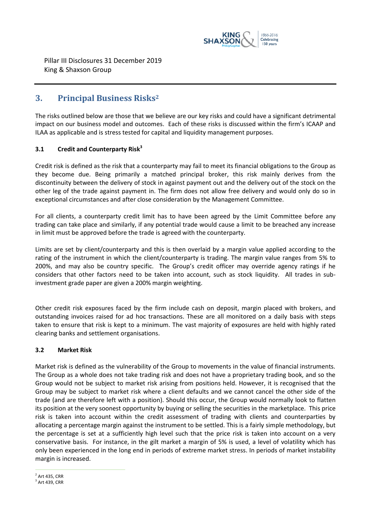

## <span id="page-7-0"></span>**3. Principal Business Risks<sup>2</sup>**

The risks outlined below are those that we believe are our key risks and could have a significant detrimental impact on our business model and outcomes. Each of these risks is discussed within the firm's ICAAP and ILAA as applicable and is stress tested for capital and liquidity management purposes.

#### **3.1 Credit and Counterparty Risk<sup>3</sup>**

Credit risk is defined as the risk that a counterparty may fail to meet its financial obligations to the Group as they become due. Being primarily a matched principal broker, this risk mainly derives from the discontinuity between the delivery of stock in against payment out and the delivery out of the stock on the other leg of the trade against payment in. The firm does not allow free delivery and would only do so in exceptional circumstances and after close consideration by the Management Committee.

For all clients, a counterparty credit limit has to have been agreed by the Limit Committee before any trading can take place and similarly, if any potential trade would cause a limit to be breached any increase in limit must be approved before the trade is agreed with the counterparty.

Limits are set by client/counterparty and this is then overlaid by a margin value applied according to the rating of the instrument in which the client/counterparty is trading. The margin value ranges from 5% to 200%, and may also be country specific. The Group's credit officer may override agency ratings if he considers that other factors need to be taken into account, such as stock liquidity. All trades in subinvestment grade paper are given a 200% margin weighting.

Other credit risk exposures faced by the firm include cash on deposit, margin placed with brokers, and outstanding invoices raised for ad hoc transactions. These are all monitored on a daily basis with steps taken to ensure that risk is kept to a minimum. The vast majority of exposures are held with highly rated clearing banks and settlement organisations.

#### **3.2 Market Risk**

Market risk is defined as the vulnerability of the Group to movements in the value of financial instruments. The Group as a whole does not take trading risk and does not have a proprietary trading book, and so the Group would not be subject to market risk arising from positions held. However, it is recognised that the Group may be subject to market risk where a client defaults and we cannot cancel the other side of the trade (and are therefore left with a position). Should this occur, the Group would normally look to flatten its position at the very soonest opportunity by buying or selling the securities in the marketplace. This price risk is taken into account within the credit assessment of trading with clients and counterparties by allocating a percentage margin against the instrument to be settled. This is a fairly simple methodology, but the percentage is set at a sufficiently high level such that the price risk is taken into account on a very conservative basis. For instance, in the gilt market a margin of 5% is used, a level of volatility which has only been experienced in the long end in periods of extreme market stress. In periods of market instability margin is increased.

 $\overline{a}$  $<sup>2</sup>$  Art 435, CRR</sup>

 $3$  Art 439, CRR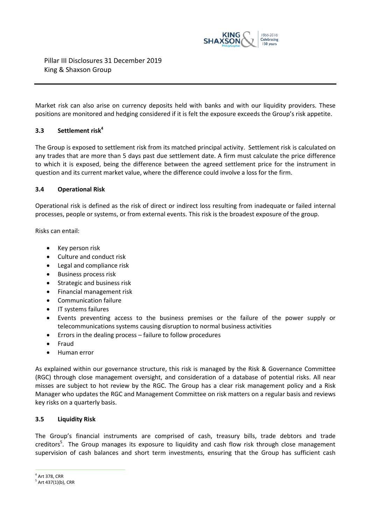

Market risk can also arise on currency deposits held with banks and with our liquidity providers. These positions are monitored and hedging considered if it is felt the exposure exceeds the Group's risk appetite.

#### **3.3 Settlement risk<sup>4</sup>**

The Group is exposed to settlement risk from its matched principal activity. Settlement risk is calculated on any trades that are more than 5 days past due settlement date. A [firm](https://www.handbook.fca.org.uk/handbook/glossary/G430.html) must calculate the price difference to which it is exposed, being the difference between the agreed settlement price for the instrument in question and it[s current market value,](https://www.handbook.fca.org.uk/handbook/glossary/G2098.html) where the difference could involve a loss for the [firm.](https://www.handbook.fca.org.uk/handbook/glossary/G430.html)

#### **3.4 Operational Risk**

Operational risk is defined as the risk of direct or indirect loss resulting from inadequate or failed internal processes, people or systems, or from external events. This risk is the broadest exposure of the group.

Risks can entail:

- Key person risk
- Culture and conduct risk
- Legal and compliance risk
- Business process risk
- Strategic and business risk
- Financial management risk
- Communication failure
- IT systems failures
- Events preventing access to the business premises or the failure of the power supply or telecommunications systems causing disruption to normal business activities
- Errors in the dealing process failure to follow procedures
- Fraud
- Human error

As explained within our governance structure, this risk is managed by the Risk & Governance Committee (RGC) through close management oversight, and consideration of a database of potential risks. All near misses are subject to hot review by the RGC. The Group has a clear risk management policy and a Risk Manager who updates the RGC and Management Committee on risk matters on a regular basis and reviews key risks on a quarterly basis.

#### **3.5 Liquidity Risk**

The Group's financial instruments are comprised of cash, treasury bills, trade debtors and trade creditors<sup>5</sup>. The Group manages its exposure to liquidity and cash flow risk through close management supervision of cash balances and short term investments, ensuring that the Group has sufficient cash

<sup>4</sup> Art 378, CRR

 $5$  Art 437(1)(b), CRR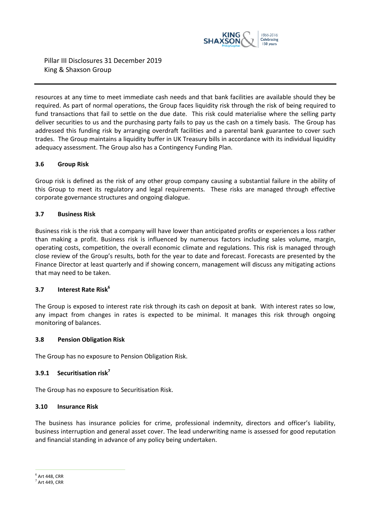

resources at any time to meet immediate cash needs and that bank facilities are available should they be required. As part of normal operations, the Group faces liquidity risk through the risk of being required to fund transactions that fail to settle on the due date. This risk could materialise where the selling party deliver securities to us and the purchasing party fails to pay us the cash on a timely basis. The Group has addressed this funding risk by arranging overdraft facilities and a parental bank guarantee to cover such trades. The Group maintains a liquidity buffer in UK Treasury bills in accordance with its individual liquidity adequacy assessment. The Group also has a Contingency Funding Plan.

#### **3.6 Group Risk**

Group risk is defined as the risk of any other group company causing a substantial failure in the ability of this Group to meet its regulatory and legal requirements. These risks are managed through effective corporate governance structures and ongoing dialogue.

#### **3.7 Business Risk**

Business risk is the risk that a company will have lower than anticipated profits or experiences a loss rather than making a profit. Business risk is influenced by numerous factors including sales volume, margin, operating costs, competition, the overall economic climate and regulations. This risk is managed through close review of the Group's results, both for the year to date and forecast. Forecasts are presented by the Finance Director at least quarterly and if showing concern, management will discuss any mitigating actions that may need to be taken.

#### **3.7 Interest Rate Risk<sup>6</sup>**

The Group is exposed to interest rate risk through its cash on deposit at bank. With interest rates so low, any impact from changes in rates is expected to be minimal. It manages this risk through ongoing monitoring of balances.

#### **3.8 Pension Obligation Risk**

The Group has no exposure to Pension Obligation Risk.

#### **3.9.1 Securitisation risk<sup>7</sup>**

The Group has no exposure to Securitisation Risk.

#### **3.10 Insurance Risk**

The business has insurance policies for crime, professional indemnity, directors and officer's liability, business interruption and general asset cover. The lead underwriting name is assessed for good reputation and financial standing in advance of any policy being undertaken.

 $\overline{a}$  $<sup>6</sup>$  Art 448, CRR</sup>

 $^7$  Art 449, CRR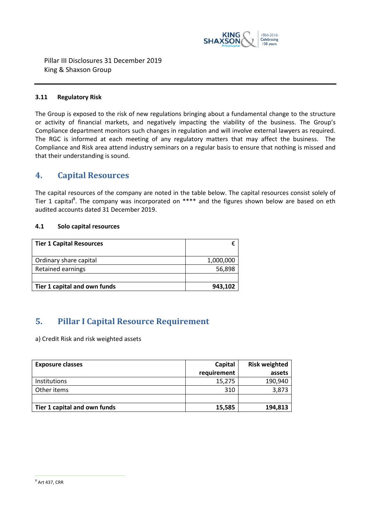

#### **3.11 Regulatory Risk**

The Group is exposed to the risk of new regulations bringing about a fundamental change to the structure or activity of financial markets, and negatively impacting the viability of the business. The Group's Compliance department monitors such changes in regulation and will involve external lawyers as required. The RGC is informed at each meeting of any regulatory matters that may affect the business. The Compliance and Risk area attend industry seminars on a regular basis to ensure that nothing is missed and that their understanding is sound.

#### <span id="page-10-0"></span>**4. Capital Resources**

The capital resources of the company are noted in the table below. The capital resources consist solely of Tier 1 capital<sup>8</sup>. The company was incorporated on \*\*\*\* and the figures shown below are based on eth audited accounts dated 31 December 2019.

#### **4.1 Solo capital resources**

| <b>Tier 1 Capital Resources</b> |           |
|---------------------------------|-----------|
| Ordinary share capital          | 1,000,000 |
| <b>Retained earnings</b>        | 56,898    |
|                                 |           |
| Tier 1 capital and own funds    | 943,102   |

# <span id="page-10-1"></span>**5. Pillar I Capital Resource Requirement**

a) Credit Risk and risk weighted assets

| <b>Exposure classes</b>      | Capital     | <b>Risk weighted</b> |
|------------------------------|-------------|----------------------|
|                              | requirement | assets               |
| Institutions                 | 15,275      | 190,940              |
| Other items                  | 310         | 3,873                |
|                              |             |                      |
| Tier 1 capital and own funds | 15,585      | 194,813              |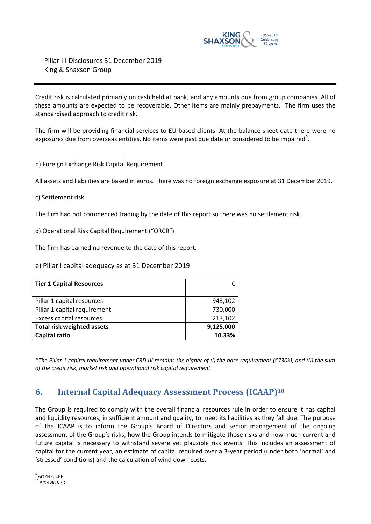

Credit risk is calculated primarily on cash held at bank, and any amounts due from group companies. All of these amounts are expected to be recoverable. Other items are mainly prepayments. The firm uses the standardised approach to credit risk.

The firm will be providing financial services to EU based clients. At the balance sheet date there were no exposures due from overseas entities. No items were past due date or considered to be impaired<sup>9</sup>.

b) Foreign Exchange Risk Capital Requirement

All assets and liabilities are based in euros. There was no foreign exchange exposure at 31 December 2019.

c) Settlement risk

The firm had not commenced trading by the date of this report so there was no settlement risk.

d) Operational Risk Capital Requirement ("ORCR")

The firm has earned no revenue to the date of this report.

e) Pillar I capital adequacy as at 31 December 2019

| <b>Tier 1 Capital Resources</b>   | €         |
|-----------------------------------|-----------|
| Pillar 1 capital resources        | 943,102   |
| Pillar 1 capital requirement      | 730,000   |
| Excess capital resources          | 213,102   |
| <b>Total risk weighted assets</b> | 9,125,000 |
| <b>Capital ratio</b>              | 10.33%    |

<span id="page-11-0"></span>*\*The Pillar 1 capital requirement under CRD IV remains the higher of (i) the base requirement (€730k), and (II) the sum of the credit risk, market risk and operational risk capital requirement.*

# **6. Internal Capital Adequacy Assessment Process (ICAAP)<sup>10</sup>**

The Group is required to comply with the overall financial resources rule in order to ensure it has capital and liquidity resources, in sufficient amount and quality, to meet its liabilities as they fall due. The purpose of the ICAAP is to inform the Group's Board of Directors and senior management of the ongoing assessment of the Group's risks, how the Group intends to mitigate those risks and how much current and future capital is necessary to withstand severe yet plausible risk events. This includes an assessment of capital for the current year, an estimate of capital required over a 3-year period (under both 'normal' and 'stressed' conditions) and the calculation of wind down costs.

 $\overline{a}$  $^9$  Art 442, CRR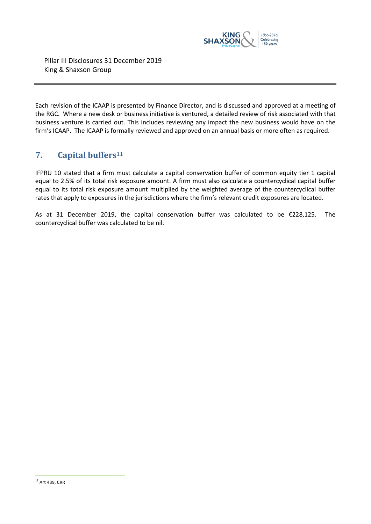

Each revision of the ICAAP is presented by Finance Director, and is discussed and approved at a meeting of the RGC. Where a new desk or business initiative is ventured, a detailed review of risk associated with that business venture is carried out. This includes reviewing any impact the new business would have on the firm's ICAAP. The ICAAP is formally reviewed and approved on an annual basis or more often as required.

# <span id="page-12-0"></span>**7. Capital buffers<sup>11</sup>**

IFPRU 10 stated that a firm must calculate a capital conservation buffer of common equity tier 1 capital equal to 2.5% of its total risk exposure amount. A firm must also calculate a countercyclical capital buffer equal to its total risk exposure amount multiplied by the weighted average of the countercyclical buffer rates that apply to exposures in the jurisdictions where the firm's relevant credit exposures are located.

As at 31 December 2019, the capital conservation buffer was calculated to be €228,125. The countercyclical buffer was calculated to be nil.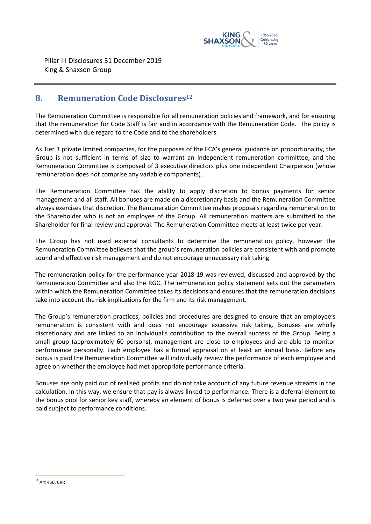

## <span id="page-13-0"></span>**8. Remuneration Code Disclosures<sup>12</sup>**

The Remuneration Committee is responsible for all remuneration policies and framework, and for ensuring that the remuneration for Code Staff is fair and in accordance with the Remuneration Code. The policy is determined with due regard to the Code and to the shareholders.

As Tier 3 private limited companies, for the purposes of the FCA's general guidance on proportionality, the Group is not sufficient in terms of size to warrant an independent remuneration committee, and the Remuneration Committee is composed of 3 executive directors plus one independent Chairperson (whose remuneration does not comprise any variable components).

The Remuneration Committee has the ability to apply discretion to bonus payments for senior management and all staff. All bonuses are made on a discretionary basis and the Remuneration Committee always exercises that discretion. The Remuneration Committee makes proposals regarding remuneration to the Shareholder who is not an employee of the Group. All remuneration matters are submitted to the Shareholder for final review and approval. The Remuneration Committee meets at least twice per year.

The Group has not used external consultants to determine the remuneration policy, however the Remuneration Committee believes that the group's remuneration policies are consistent with and promote sound and effective risk management and do not encourage unnecessary risk taking.

The remuneration policy for the performance year 2018-19 was reviewed, discussed and approved by the Remuneration Committee and also the RGC. The remuneration policy statement sets out the parameters within which the Remuneration Committee takes its decisions and ensures that the remuneration decisions take into account the risk implications for the firm and its risk management.

The Group's remuneration practices, policies and procedures are designed to ensure that an employee's remuneration is consistent with and does not encourage excessive risk taking. Bonuses are wholly discretionary and are linked to an individual's contribution to the overall success of the Group. Being a small group (approximately 60 persons), management are close to employees and are able to monitor performance personally. Each employee has a formal appraisal on at least an annual basis. Before any bonus is paid the Remuneration Committee will individually review the performance of each employee and agree on whether the employee had met appropriate performance criteria.

Bonuses are only paid out of realised profits and do not take account of any future revenue streams in the calculation. In this way, we ensure that pay is always linked to performance. There is a deferral element to the bonus pool for senior key staff, whereby an element of bonus is deferred over a two year period and is paid subject to performance conditions.

 $12$  Art 450, CRR